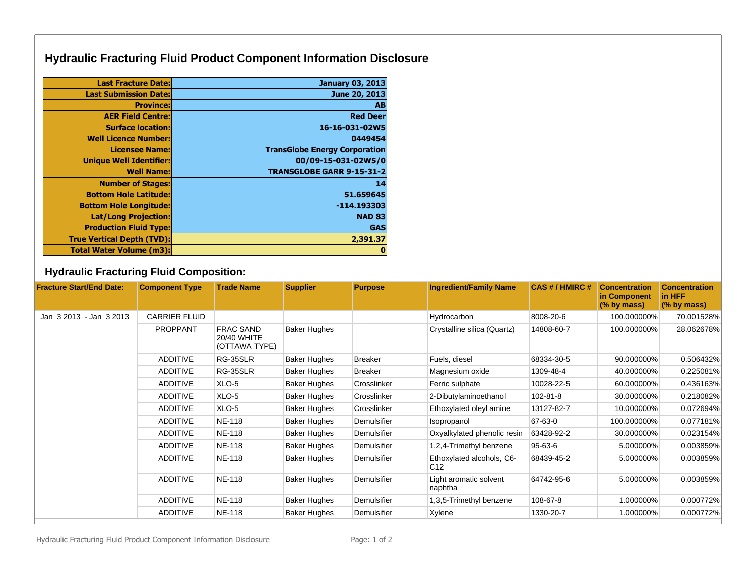## **Hydraulic Fracturing Fluid Product Component Information Disclosure**

| <b>Last Fracture Date:</b>        | <b>January 03, 2013</b>              |
|-----------------------------------|--------------------------------------|
| <b>Last Submission Date:</b>      | June 20, 2013                        |
| <b>Province:</b>                  | AB                                   |
| <b>AER Field Centre:</b>          | <b>Red Deer</b>                      |
| <b>Surface location:</b>          | 16-16-031-02W5                       |
| <b>Well Licence Number:</b>       | 0449454                              |
| <b>Licensee Name:</b>             | <b>TransGlobe Energy Corporation</b> |
| <b>Unique Well Identifier:</b>    | 00/09-15-031-02W5/0                  |
| <b>Well Name:</b>                 | <b>TRANSGLOBE GARR 9-15-31-2</b>     |
| <b>Number of Stages:</b>          | 14                                   |
| <b>Bottom Hole Latitude:</b>      | 51.659645                            |
| <b>Bottom Hole Longitude:</b>     | $-114.193303$                        |
| <b>Lat/Long Projection:</b>       | <b>NAD 83</b>                        |
| <b>Production Fluid Type:</b>     | <b>GAS</b>                           |
| <b>True Vertical Depth (TVD):</b> | 2,391.37                             |
| <b>Total Water Volume (m3):</b>   | 0                                    |

## **Hydraulic Fracturing Fluid Composition:**

| <b>Fracture Start/End Date:</b> | <b>Component Type</b> | <b>Trade Name</b>                                | <b>Supplier</b>     | <b>Purpose</b> | <b>Ingredient/Family Name</b>                | CAS # / HMIRC # | <b>Concentration</b><br>in Component<br>$(%$ by mass) | <b>Concentration</b><br>in HFF<br>$(%$ by mass) |
|---------------------------------|-----------------------|--------------------------------------------------|---------------------|----------------|----------------------------------------------|-----------------|-------------------------------------------------------|-------------------------------------------------|
| Jan 3 2013 - Jan 3 2013         | <b>CARRIER FLUID</b>  |                                                  |                     |                | Hydrocarbon                                  | 8008-20-6       | 100.000000%                                           | 70.001528%                                      |
|                                 | <b>PROPPANT</b>       | <b>FRAC SAND</b><br>20/40 WHITE<br>(OTTAWA TYPE) | <b>Baker Hughes</b> |                | Crystalline silica (Quartz)                  | 14808-60-7      | 100.000000%                                           | 28.062678%                                      |
|                                 | <b>ADDITIVE</b>       | RG-35SLR                                         | <b>Baker Hughes</b> | Breaker        | Fuels, diesel                                | 68334-30-5      | 90.000000%                                            | 0.506432%                                       |
|                                 | <b>ADDITIVE</b>       | RG-35SLR                                         | <b>Baker Hughes</b> | <b>Breaker</b> | Magnesium oxide                              | 1309-48-4       | 40.000000%                                            | 0.225081%                                       |
|                                 | <b>ADDITIVE</b>       | XLO-5                                            | <b>Baker Hughes</b> | Crosslinker    | Ferric sulphate                              | 10028-22-5      | 60.000000%                                            | 0.436163%                                       |
|                                 | <b>ADDITIVE</b>       | XLO-5                                            | <b>Baker Hughes</b> | Crosslinker    | 2-Dibutylaminoethanol                        | $102 - 81 - 8$  | 30.000000%                                            | 0.218082%                                       |
|                                 | <b>ADDITIVE</b>       | XLO-5                                            | <b>Baker Hughes</b> | Crosslinker    | Ethoxylated oleyl amine                      | 13127-82-7      | 10.000000%                                            | 0.072694%                                       |
|                                 | <b>ADDITIVE</b>       | <b>NE-118</b>                                    | <b>Baker Hughes</b> | Demulsifier    | Isopropanol                                  | 67-63-0         | 100.000000%                                           | 0.077181%                                       |
|                                 | <b>ADDITIVE</b>       | <b>NE-118</b>                                    | <b>Baker Hughes</b> | Demulsifier    | Oxyalkylated phenolic resin                  | 63428-92-2      | 30.000000%                                            | 0.023154%                                       |
|                                 | <b>ADDITIVE</b>       | <b>NE-118</b>                                    | <b>Baker Hughes</b> | Demulsifier    | 1,2,4-Trimethyl benzene                      | 95-63-6         | 5.000000%                                             | 0.003859%                                       |
|                                 | <b>ADDITIVE</b>       | <b>NE-118</b>                                    | <b>Baker Hughes</b> | Demulsifier    | Ethoxylated alcohols, C6-<br>C <sub>12</sub> | 68439-45-2      | 5.000000%                                             | 0.003859%                                       |
|                                 | <b>ADDITIVE</b>       | <b>NE-118</b>                                    | <b>Baker Hughes</b> | Demulsifier    | Light aromatic solvent<br>naphtha            | 64742-95-6      | 5.000000%                                             | 0.003859%                                       |
|                                 | <b>ADDITIVE</b>       | <b>NE-118</b>                                    | <b>Baker Hughes</b> | Demulsifier    | 1,3,5-Trimethyl benzene                      | 108-67-8        | 1.000000%                                             | 0.000772%                                       |
|                                 | <b>ADDITIVE</b>       | <b>NE-118</b>                                    | <b>Baker Hughes</b> | Demulsifier    | Xylene                                       | 1330-20-7       | 1.000000%                                             | 0.000772%                                       |

Hydraulic Fracturing Fluid Product Component Information Disclosure Page: 1 of 2